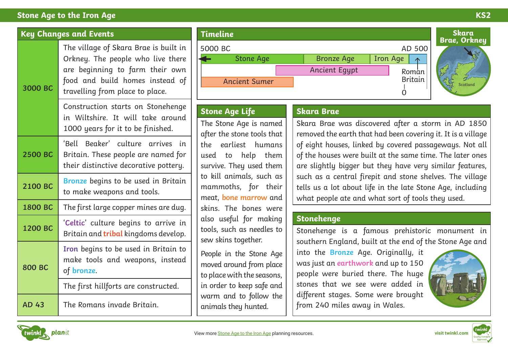# **Stone Age to the Iron Age KS2**

| <b>Key Changes and Events</b> |                                                                                                                                                                                     |
|-------------------------------|-------------------------------------------------------------------------------------------------------------------------------------------------------------------------------------|
| 3000 BC                       | The village of Skara Brae is built in<br>Orkney. The people who live there<br>are beginning to farm their own<br>food and build homes instead of<br>travelling from place to place. |
|                               | Construction starts on Stonehenge<br>in Wiltshire. It will take around<br>1000 years for it to be finished.                                                                         |
| 2500 BC                       | 'Bell<br>Beaker' culture arrives<br>in.<br>Britain. These people are named for<br>their distinctive decorative pottery.                                                             |
| 2100 BC                       | Bronze begins to be used in Britain<br>to make weapons and tools.                                                                                                                   |
| 1800 BC                       | The first large copper mines are dug.                                                                                                                                               |
| 1200 BC                       | 'Celtic' culture begins to arrive in<br>Britain and tribal kingdoms develop.                                                                                                        |
| <b>800 BC</b>                 | Iron begins to be used in Britain to<br>make tools and weapons, instead<br>of bronze.                                                                                               |
|                               | The first hillforts are constructed.                                                                                                                                                |
| <b>AD 43</b>                  | The Romans invade Britain.                                                                                                                                                          |



# **Stone Age Life**

The Stone Age is named after the stone tools that the earliest humans used to help them survive. They used them to kill animals, such as mammoths, for their meat, **bone marrow** and skins. The bones were also useful for making tools, such as needles to sew skins together.

People in the Stone Age moved around from place to place with the seasons, in order to keep safe and warm and to follow the animals they hunted.

### **Skara Brae**

Skara Brae was discovered after a storm in AD 1850 removed the earth that had been covering it. It is a village of eight houses, linked by covered passageways. Not all of the houses were built at the same time. The later ones are slightly bigger but they have very similar features, such as a central firepit and stone shelves. The village tells us a lot about life in the late Stone Age, including what people ate and what sort of tools they used.

## **Stonehenge**

Stonehenge is a famous prehistoric monument in southern England, built at the end of the Stone Age and

into the **Bronze** Age. Originally, it was just an **earthwork** and up to 150 people were buried there. The huge stones that we see were added in different stages. Some were brought from 240 miles away in Wales.